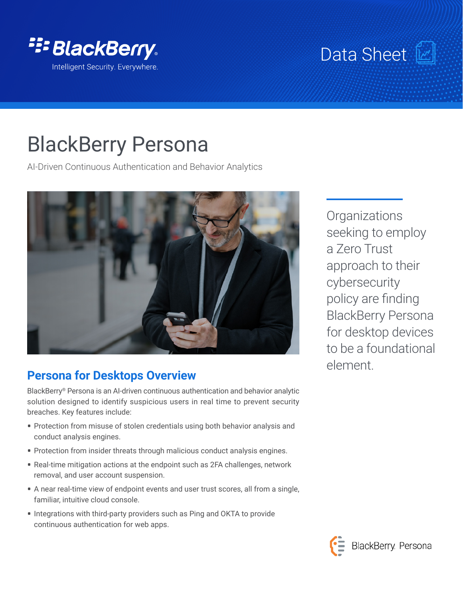

## Data Sheet [

# BlackBerry Persona

AI-Driven Continuous Authentication and Behavior Analytics



## **Persona for Desktops Overview**

BlackBerry® Persona is an AI-driven continuous authentication and behavior analytic solution designed to identify suspicious users in real time to prevent security breaches. Key features include:

- **•** Protection from misuse of stolen credentials using both behavior analysis and conduct analysis engines.
- **•** Protection from insider threats through malicious conduct analysis engines.
- **•** Real-time mitigation actions at the endpoint such as 2FA challenges, network removal, and user account suspension.
- **•** A near real-time view of endpoint events and user trust scores, all from a single, familiar, intuitive cloud console.
- **•** Integrations with third-party providers such as Ping and OKTA to provide continuous authentication for web apps.

**Organizations** seeking to employ a Zero Trust approach to their cybersecurity policy are finding BlackBerry Persona for desktop devices to be a foundational element.

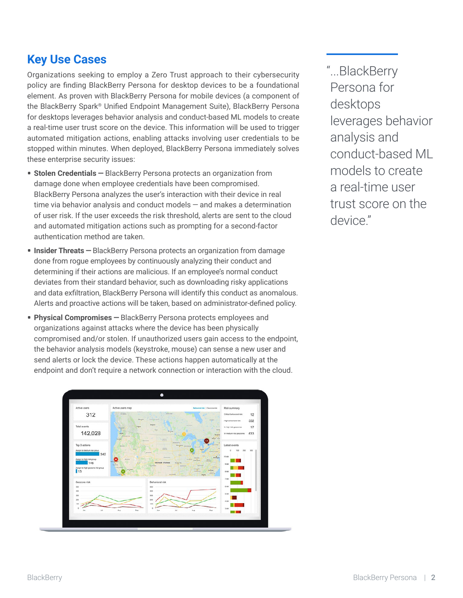## **Key Use Cases**

Organizations seeking to employ a Zero Trust approach to their cybersecurity policy are finding BlackBerry Persona for desktop devices to be a foundational element. As proven with BlackBerry Persona for mobile devices (a component of the BlackBerry Spark® Unified Endpoint Management Suite), BlackBerry Persona for desktops leverages behavior analysis and conduct-based ML models to create a real-time user trust score on the device. This information will be used to trigger automated mitigation actions, enabling attacks involving user credentials to be stopped within minutes. When deployed, BlackBerry Persona immediately solves these enterprise security issues:

- **• Stolen Credentials —** BlackBerry Persona protects an organization from damage done when employee credentials have been compromised. BlackBerry Persona analyzes the user's interaction with their device in real time via behavior analysis and conduct models — and makes a determination of user risk. If the user exceeds the risk threshold, alerts are sent to the cloud and automated mitigation actions such as prompting for a second-factor authentication method are taken.
- **• Insider Threats —** BlackBerry Persona protects an organization from damage done from rogue employees by continuously analyzing their conduct and determining if their actions are malicious. If an employee's normal conduct deviates from their standard behavior, such as downloading risky applications and data exfiltration, BlackBerry Persona will identify this conduct as anomalous. Alerts and proactive actions will be taken, based on administrator-defined policy.
- **• Physical Compromises —** BlackBerry Persona protects employees and organizations against attacks where the device has been physically compromised and/or stolen. If unauthorized users gain access to the endpoint, the behavior analysis models (keystroke, mouse) can sense a new user and send alerts or lock the device. These actions happen automatically at the endpoint and don't require a network connection or interaction with the cloud.



"...BlackBerry Persona for desktops leverages behavior analysis and conduct-based ML models to create a real-time user trust score on the device."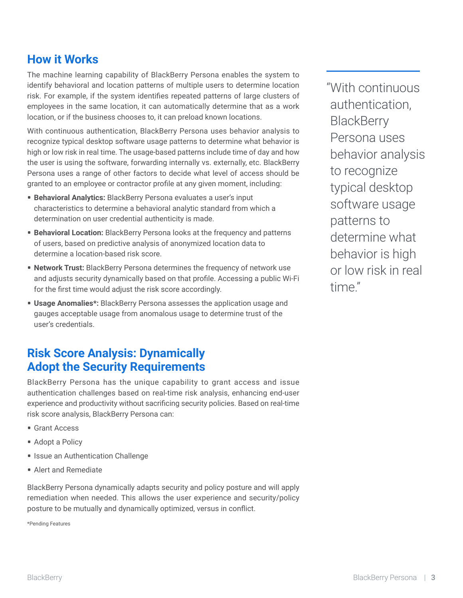#### **How it Works**

The machine learning capability of BlackBerry Persona enables the system to identify behavioral and location patterns of multiple users to determine location risk. For example, if the system identifies repeated patterns of large clusters of employees in the same location, it can automatically determine that as a work location, or if the business chooses to, it can preload known locations.

With continuous authentication, BlackBerry Persona uses behavior analysis to recognize typical desktop software usage patterns to determine what behavior is high or low risk in real time. The usage-based patterns include time of day and how the user is using the software, forwarding internally vs. externally, etc. BlackBerry Persona uses a range of other factors to decide what level of access should be granted to an employee or contractor profile at any given moment, including:

- **• Behavioral Analytics:** BlackBerry Persona evaluates a user's input characteristics to determine a behavioral analytic standard from which a determination on user credential authenticity is made.
- **• Behavioral Location:** BlackBerry Persona looks at the frequency and patterns of users, based on predictive analysis of anonymized location data to determine a location-based risk score.
- **• Network Trust:** BlackBerry Persona determines the frequency of network use and adjusts security dynamically based on that profile. Accessing a public Wi-Fi for the first time would adjust the risk score accordingly.
- **• Usage Anomalies\*:** BlackBerry Persona assesses the application usage and gauges acceptable usage from anomalous usage to determine trust of the user's credentials.

#### **Risk Score Analysis: Dynamically Adopt the Security Requirements**

BlackBerry Persona has the unique capability to grant access and issue authentication challenges based on real-time risk analysis, enhancing end-user experience and productivity without sacrificing security policies. Based on real-time risk score analysis, BlackBerry Persona can:

- **•** Grant Access
- **•** Adopt a Policy
- **•** Issue an Authentication Challenge
- **•** Alert and Remediate

BlackBerry Persona dynamically adapts security and policy posture and will apply remediation when needed. This allows the user experience and security/policy posture to be mutually and dynamically optimized, versus in conflict.

\*Pending Features

"With continuous authentication, **BlackBerry** Persona uses behavior analysis to recognize typical desktop software usage patterns to determine what behavior is high or low risk in real time"